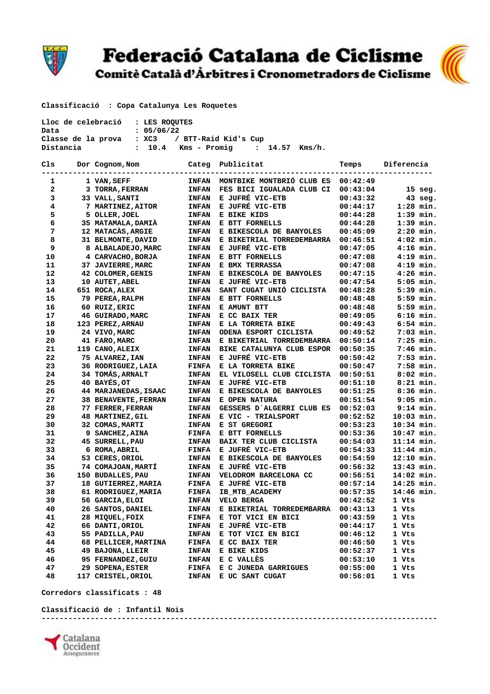

## Federació Catalana de Ciclisme

Comitè Català d'Àrbitres i Cronometradors de Ciclisme



 **Classificació : Copa Catalunya Les Roquetes** 

| Lloc de celebració : LES ROOUTES |                                       |  |  |  |  |  |
|----------------------------------|---------------------------------------|--|--|--|--|--|
| Data                             | : 05/06/22                            |  |  |  |  |  |
| Classe de la prova               | : XC3 / BTT-Raid Kid's Cup            |  |  |  |  |  |
| Distancia                        | : 10.4 Kms – Promig    : 14.57 Kms/h. |  |  |  |  |  |

| C1s | Dor Cognom, Nom            | Categ        | Publicitat                | Temps    | Diferencia  |
|-----|----------------------------|--------------|---------------------------|----------|-------------|
| 1   | 1 VAN, SEFF                | <b>INFAN</b> | MONTBIKE MONTBRIÓ CLUB ES | 00:42:49 |             |
| 2   | 3 TORRA, FERRAN            | <b>INFAN</b> | FES BICI IGUALADA CLUB CI | 00:43:04 | $15$ seg.   |
| 3   | 33 VALL, SANTI             | <b>INFAN</b> | E JUFRÉ VIC-ETB           | 00:43:32 | $43$ seg.   |
| 4   | 7 MARTINEZ, AITOR          | <b>INFAN</b> | E JUFRÉ VIC-ETB           | 00:44:17 | $1:28$ min. |
| 5   | 5 OLLER, JOEL              | <b>INFAN</b> | E BIKE KIDS               | 00:44:28 | $1:39$ min. |
| 6   | 35 MATAMALA, DAMIA         | <b>INFAN</b> | E BTT FORNELLS            | 00:44:28 | $1:39$ min. |
| 7   | <b>12 MATACÀS, ARGIE</b>   | <b>INFAN</b> | E BIKESCOLA DE BANYOLES   | 00:45:09 | $2:20$ min. |
| 8   | 31 BELMONTE, DAVID         | <b>INFAN</b> | E BIKETRIAL TORREDEMBARRA | 00:46:51 | $4:02$ min. |
| 9   | 8 ALBALADEJO, MARC         | <b>INFAN</b> | E JUFRÉ VIC-ETB           | 00:47:05 | $4:16$ min. |
| 10  | 4 CARVACHO, BORJA          | <b>INFAN</b> | E BTT FORNELLS            | 00:47:08 | $4:19$ min. |
| 11  | 37 JAVIERRE, MARC          | <b>INFAN</b> | E BMX TERRASSA            | 00:47:08 | $4:19$ min. |
| 12  | 42 COLOMER, GENIS          | <b>INFAN</b> | E BIKESCOLA DE BANYOLES   | 00:47:15 | $4:26$ min. |
| 13  | 10 AUTET, ABEL             | <b>INFAN</b> | E JUFRÉ VIC-ETB           | 00:47:54 | $5:05$ min. |
| 14  | 651 ROCA, ALEX             | <b>INFAN</b> | SANT CUGAT UNIÓ CICLISTA  | 00:48:28 | $5:39$ min. |
| 15  | 79 PEREA, RALPH            | <b>INFAN</b> | E BTT FORNELLS            | 00:48:48 | $5:59$ min. |
| 16  | 60 RUIZ, ERIC              | <b>INFAN</b> | E AMUNT BTT               | 00:48:48 | $5:59$ min. |
| 17  | 46 GUIRADO, MARC           | <b>INFAN</b> | E CC BAIX TER             | 00:49:05 | $6:16$ min. |
| 18  | 123 PEREZ, ARNAU           | <b>INFAN</b> | E LA TORRETA BIKE         | 00:49:43 | $6:54$ min. |
| 19  | 24 VIVO, MARC              | <b>INFAN</b> | ODENA ESPORT CICLISTA     | 00:49:52 | $7:03$ min. |
| 20  | 41 FARO, MARC              | <b>INFAN</b> | E BIKETRIAL TORREDEMBARRA | 00:50:14 | $7:25$ min. |
| 21  | 119 CANO, ALEIX            | <b>INFAN</b> | BIKE CATALUNYA CLUB ESPOR | 00:50:35 | $7:46$ min. |
| 22  | 75 ALVAREZ, IAN            | <b>INFAN</b> | E JUFRÉ VIC-ETB           | 00:50:42 | $7:53$ min. |
| 23  | 36 RODRIGUEZ, LAIA         | <b>FINFA</b> | E LA TORRETA BIKE         | 00:50:47 | $7:58$ min. |
| 24  | 34 TOMÁS, ARNALT           | <b>INFAN</b> | EL VILOSELL CLUB CICLISTA | 00:50:51 | $8:02$ min. |
| 25  | 40 BAYÉS, OT               | <b>INFAN</b> | E JUFRÉ VIC-ETB           | 00:51:10 | $8:21$ min. |
| 26  | 44 MARJANEDAS, ISAAC       | <b>INFAN</b> | E BIKESCOLA DE BANYOLES   | 00:51:25 | $8:36$ min. |
| 27  | 38 BENAVENTE, FERRAN       | <b>INFAN</b> | E OPEN NATURA             | 00:51:54 | $9:05$ min. |
| 28  | 77 FERRER, FERRAN          | <b>INFAN</b> | GESSERS D'ALGERRI CLUB ES | 00:52:03 | $9:14$ min. |
| 29  | 48 MARTINEZ, GIL           | <b>INFAN</b> | E VIC - TRIALSPORT        | 00:52:52 | 10:03 min.  |
| 30  | 32 COMAS, MARTI            | <b>INFAN</b> | E ST GREGORI              | 00:53:23 | 10:34 min.  |
| 31  | 9 SANCHEZ, AINA            | <b>FINFA</b> | E BTT FORNELLS            | 00:53:36 | 10:47 min.  |
| 32  | 45 SURRELL, PAU            | <b>INFAN</b> | BAIX TER CLUB CICLISTA    | 00:54:03 | 11:14 min.  |
| 33  | 6 ROMA, ABRIL              | <b>FINFA</b> | E JUFRÉ VIC-ETB           | 00:54:33 | 11:44 min.  |
| 34  | 53 CERES, ORIOL            | <b>INFAN</b> | E BIKESCOLA DE BANYOLES   | 00:54:59 | 12:10 min.  |
| 35  | 74 COMAJOAN, MARTÍ         | <b>INFAN</b> | E JUFRÉ VIC-ETB           | 00:56:32 | 13:43 min.  |
| 36  | 150 BUDALLES, PAU          | <b>INFAN</b> | VELODROM BARCELONA CC     | 00:56:51 | 14:02 min.  |
| 37  | <b>18 GUTIERREZ, MARIA</b> | <b>FINFA</b> | E JUFRÉ VIC-ETB           | 00:57:14 | 14:25 min.  |
| 38  | 61 RODRIGUEZ, MARIA        | <b>FINFA</b> | IB MTB ACADEMY            | 00:57:35 | 14:46 min.  |
| 39  | 56 GARCIA, ELOI            | <b>INFAN</b> | VELO BERGA                | 00:42:52 | 1 Vts       |
| 40  | 26 SANTOS, DANIEL          | <b>INFAN</b> | E BIKETRIAL TORREDEMBARRA | 00:43:13 | 1 Vts       |
| 41  | 28 MIQUEL, FOIX            | <b>FINFA</b> | E TOT VICI EN BICI        | 00:43:59 | 1 Vts       |
| 42  | 66 DANTI, ORIOL            | <b>INFAN</b> | E JUFRÉ VIC-ETB           | 00:44:17 | 1 Vts       |
| 43  | 55 PADILLA, PAU            | <b>INFAN</b> | E TOT VICI EN BICI        | 00:46:12 | 1 Vts       |
| 44  | 68 PELLICER, MARTINA       | <b>FINFA</b> | E CC BAIX TER             | 00:46:50 | 1 Vts       |
| 45  | 49 BAJONA, LLEIR           | <b>INFAN</b> | E BIKE KIDS               | 00:52:37 | 1 Vts       |
| 46  | 95 FERNANDEZ, GUIU         | <b>INFAN</b> | E C VALLES                | 00:53:10 | 1 Vts       |
| 47  | 29 SOPENA, ESTER           | <b>FINFA</b> | E C JUNEDA GARRIGUES      | 00:55:00 | 1 Vts       |
| 48  | 117 CRISTEL, ORIOL         | <b>INFAN</b> | E UC SANT CUGAT           | 00:56:01 | 1 Vts       |

 **Corredors classificats : 48** 

 **Classificació de : Infantil Nois -----------------------------------------------------------------------------------------**